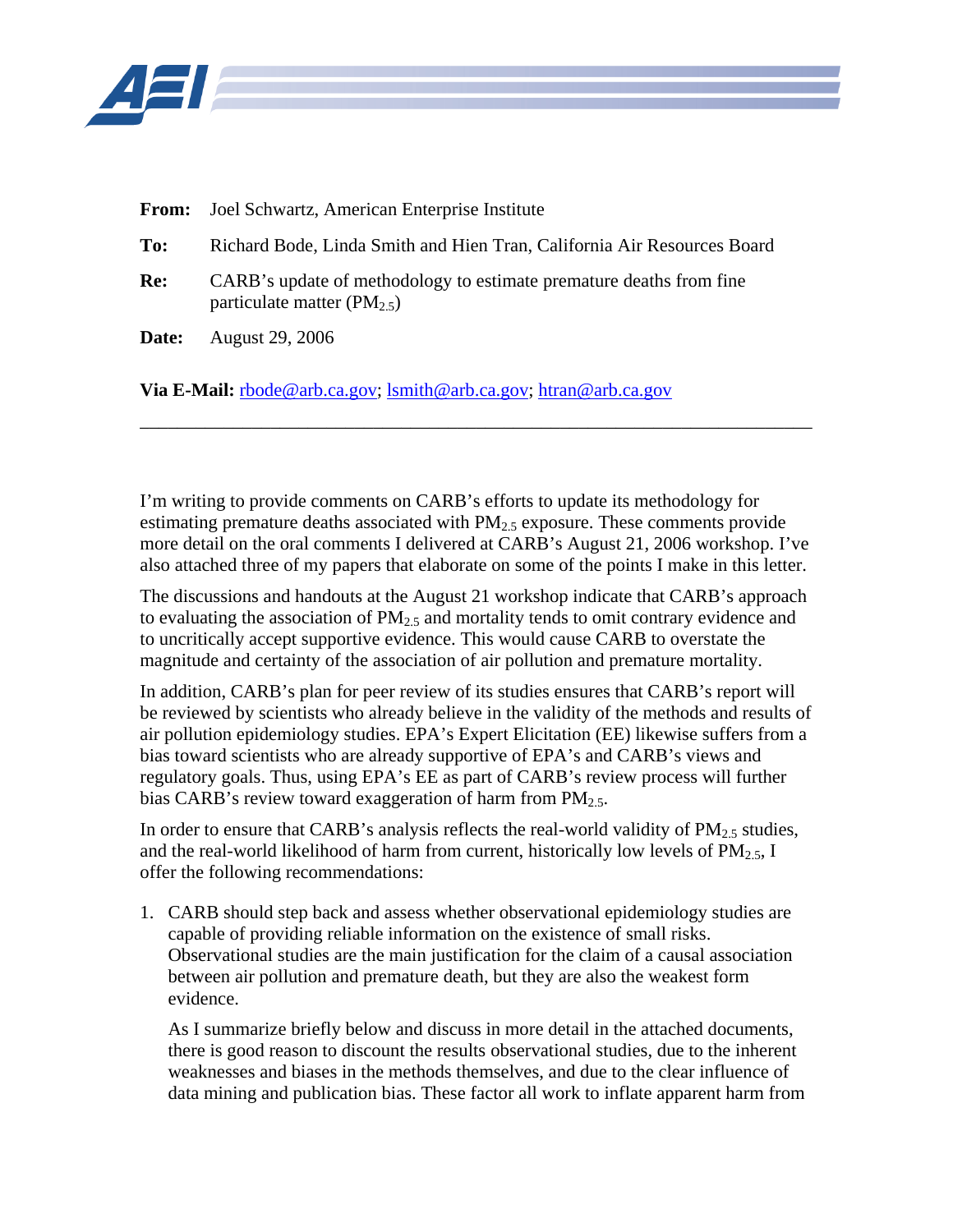

- **From:** Joel Schwartz, American Enterprise Institute
- **To:** Richard Bode, Linda Smith and Hien Tran, California Air Resources Board
- **Re:** CARB's update of methodology to estimate premature deaths from fine particulate matter (PM<sub>2.5</sub>)
- **Date:** August 29, 2006

**Via E-Mail:** [rbode@arb.ca.gov](mailto:rbode@arb.ca.gov); [lsmith@arb.ca.gov;](mailto:lsmith@arb.ca.gov) [htran@arb.ca.gov](mailto:htran@arb.ca.gov)

I'm writing to provide comments on CARB's efforts to update its methodology for estimating premature deaths associated with  $PM<sub>2.5</sub>$  exposure. These comments provide more detail on the oral comments I delivered at CARB's August 21, 2006 workshop. I've also attached three of my papers that elaborate on some of the points I make in this letter.

\_\_\_\_\_\_\_\_\_\_\_\_\_\_\_\_\_\_\_\_\_\_\_\_\_\_\_\_\_\_\_\_\_\_\_\_\_\_\_\_\_\_\_\_\_\_\_\_\_\_\_\_\_\_\_\_\_\_\_\_\_\_\_\_\_\_\_\_\_\_\_\_

The discussions and handouts at the August 21 workshop indicate that CARB's approach to evaluating the association of  $PM_{2.5}$  and mortality tends to omit contrary evidence and to uncritically accept supportive evidence. This would cause CARB to overstate the magnitude and certainty of the association of air pollution and premature mortality.

In addition, CARB's plan for peer review of its studies ensures that CARB's report will be reviewed by scientists who already believe in the validity of the methods and results of air pollution epidemiology studies. EPA's Expert Elicitation (EE) likewise suffers from a bias toward scientists who are already supportive of EPA's and CARB's views and regulatory goals. Thus, using EPA's EE as part of CARB's review process will further bias CARB's review toward exaggeration of harm from  $PM<sub>2.5</sub>$ .

In order to ensure that CARB's analysis reflects the real-world validity of  $PM_{2.5}$  studies, and the real-world likelihood of harm from current, historically low levels of  $PM_{2.5}$ , I offer the following recommendations:

1. CARB should step back and assess whether observational epidemiology studies are capable of providing reliable information on the existence of small risks. Observational studies are the main justification for the claim of a causal association between air pollution and premature death, but they are also the weakest form evidence.

As I summarize briefly below and discuss in more detail in the attached documents, there is good reason to discount the results observational studies, due to the inherent weaknesses and biases in the methods themselves, and due to the clear influence of data mining and publication bias. These factor all work to inflate apparent harm from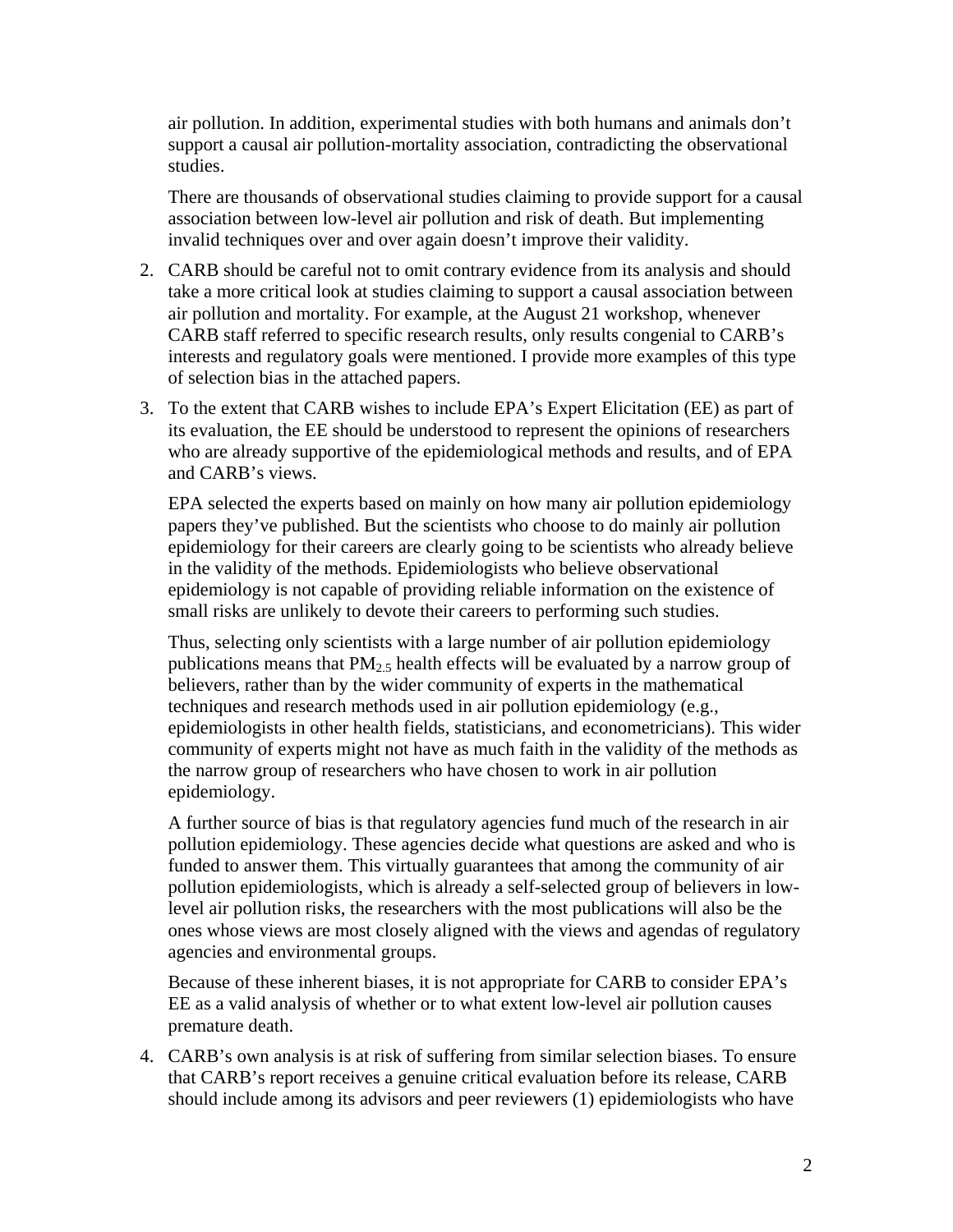air pollution. In addition, experimental studies with both humans and animals don't support a causal air pollution-mortality association, contradicting the observational studies.

There are thousands of observational studies claiming to provide support for a causal association between low-level air pollution and risk of death. But implementing invalid techniques over and over again doesn't improve their validity.

- 2. CARB should be careful not to omit contrary evidence from its analysis and should take a more critical look at studies claiming to support a causal association between air pollution and mortality. For example, at the August 21 workshop, whenever CARB staff referred to specific research results, only results congenial to CARB's interests and regulatory goals were mentioned. I provide more examples of this type of selection bias in the attached papers.
- 3. To the extent that CARB wishes to include EPA's Expert Elicitation (EE) as part of its evaluation, the EE should be understood to represent the opinions of researchers who are already supportive of the epidemiological methods and results, and of EPA and CARB's views.

EPA selected the experts based on mainly on how many air pollution epidemiology papers they've published. But the scientists who choose to do mainly air pollution epidemiology for their careers are clearly going to be scientists who already believe in the validity of the methods. Epidemiologists who believe observational epidemiology is not capable of providing reliable information on the existence of small risks are unlikely to devote their careers to performing such studies.

Thus, selecting only scientists with a large number of air pollution epidemiology publications means that  $PM_2$ <sub>5</sub> health effects will be evaluated by a narrow group of believers, rather than by the wider community of experts in the mathematical techniques and research methods used in air pollution epidemiology (e.g., epidemiologists in other health fields, statisticians, and econometricians). This wider community of experts might not have as much faith in the validity of the methods as the narrow group of researchers who have chosen to work in air pollution epidemiology.

A further source of bias is that regulatory agencies fund much of the research in air pollution epidemiology. These agencies decide what questions are asked and who is funded to answer them. This virtually guarantees that among the community of air pollution epidemiologists, which is already a self-selected group of believers in lowlevel air pollution risks, the researchers with the most publications will also be the ones whose views are most closely aligned with the views and agendas of regulatory agencies and environmental groups.

Because of these inherent biases, it is not appropriate for CARB to consider EPA's EE as a valid analysis of whether or to what extent low-level air pollution causes premature death.

4. CARB's own analysis is at risk of suffering from similar selection biases. To ensure that CARB's report receives a genuine critical evaluation before its release, CARB should include among its advisors and peer reviewers (1) epidemiologists who have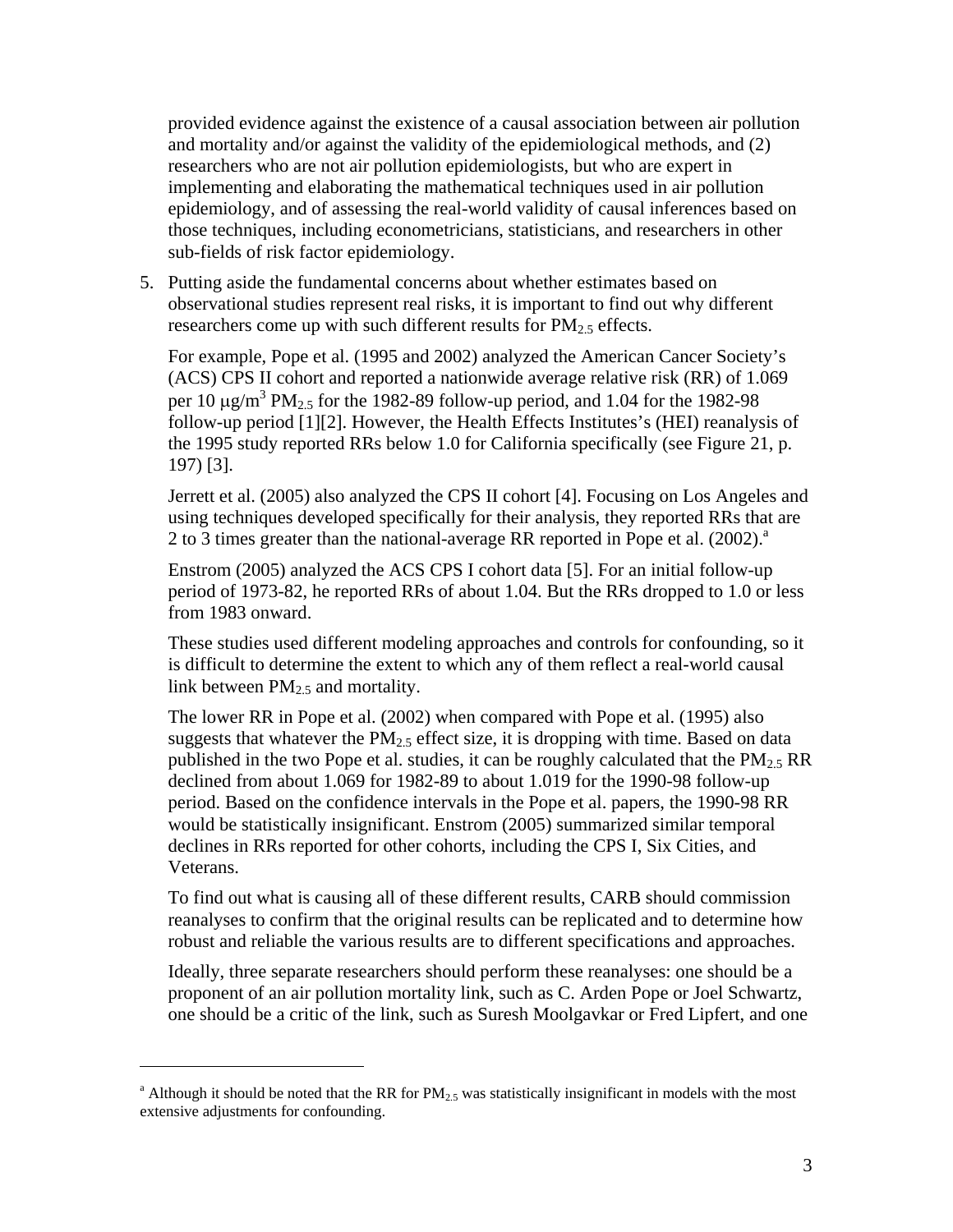provided evidence against the existence of a causal association between air pollution and mortality and/or against the validity of the epidemiological methods, and (2) researchers who are not air pollution epidemiologists, but who are expert in implementing and elaborating the mathematical techniques used in air pollution epidemiology, and of assessing the real-world validity of causal inferences based on those techniques, including econometricians, statisticians, and researchers in other sub-fields of risk factor epidemiology.

5. Putting aside the fundamental concerns about whether estimates based on observational studies represent real risks, it is important to find out why different researchers come up with such different results for  $PM_{2.5}$  effects.

For example, Pope et al. (1995 and 2002) analyzed the American Cancer Society's (ACS) CPS II cohort and reported a nationwide average relative risk (RR) of 1.069 per 10  $\mu$ g/m<sup>3</sup> PM<sub>2.5</sub> for the 1982-89 follow-up period, and 1.04 for the 1982-98 follow-up period [1][2]. However, the Health Effects Institutes's (HEI) reanalysis of the 1995 study reported RRs below 1.0 for California specifically (see Figure 21, p. 197) [3].

Jerrett et al. (2005) also analyzed the CPS II cohort [4]. Focusing on Los Angeles and using techniques developed specifically for their analysis, they reported RRs that are 2to 3 times greater than the national-average RR reported in Pope et al.  $(2002)^{a}$ 

Enstrom (2005) analyzed the ACS CPS I cohort data [5]. For an initial follow-up period of 1973-82, he reported RRs of about 1.04. But the RRs dropped to 1.0 or less from 1983 onward.

These studies used different modeling approaches and controls for confounding, so it is difficult to determine the extent to which any of them reflect a real-world causal link between  $PM<sub>2.5</sub>$  and mortality.

The lower RR in Pope et al. (2002) when compared with Pope et al. (1995) also suggests that whatever the  $PM_{2.5}$  effect size, it is dropping with time. Based on data published in the two Pope et al. studies, it can be roughly calculated that the  $PM_{2.5}$  RR declined from about 1.069 for 1982-89 to about 1.019 for the 1990-98 follow-up period. Based on the confidence intervals in the Pope et al. papers, the 1990-98 RR would be statistically insignificant. Enstrom (2005) summarized similar temporal declines in RRs reported for other cohorts, including the CPS I, Six Cities, and Veterans.

To find out what is causing all of these different results, CARB should commission reanalyses to confirm that the original results can be replicated and to determine how robust and reliable the various results are to different specifications and approaches.

Ideally, three separate researchers should perform these reanalyses: one should be a proponent of an air pollution mortality link, such as C. Arden Pope or Joel Schwartz, one should be a critic of the link, such as Suresh Moolgavkar or Fred Lipfert, and one

1

<span id="page-2-0"></span><sup>&</sup>lt;sup>a</sup> Although it should be noted that the RR for  $PM_{2.5}$  was statistically insignificant in models with the most extensive adjustments for confounding.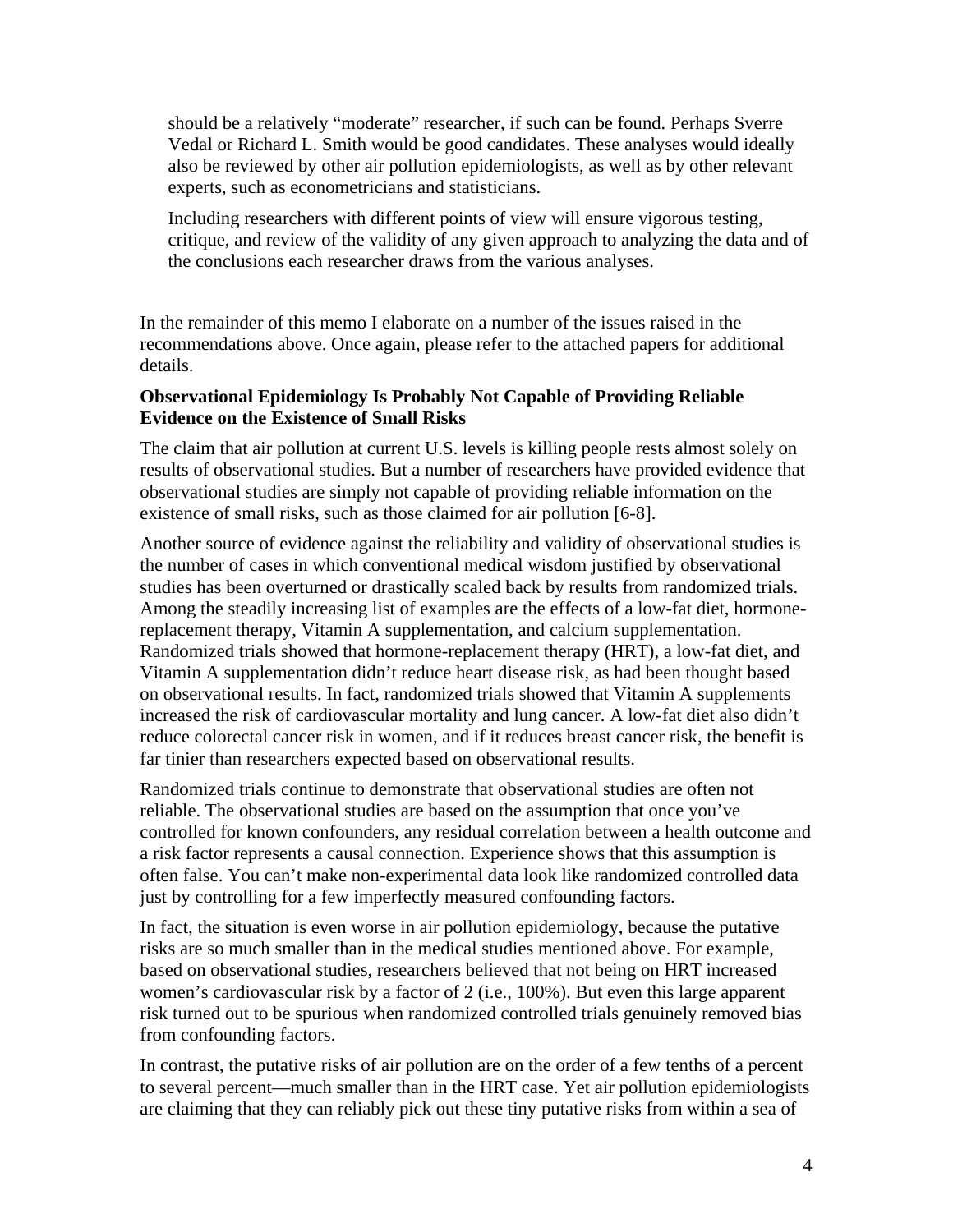should be a relatively "moderate" researcher, if such can be found. Perhaps Sverre Vedal or Richard L. Smith would be good candidates. These analyses would ideally also be reviewed by other air pollution epidemiologists, as well as by other relevant experts, such as econometricians and statisticians.

Including researchers with different points of view will ensure vigorous testing, critique, and review of the validity of any given approach to analyzing the data and of the conclusions each researcher draws from the various analyses.

In the remainder of this memo I elaborate on a number of the issues raised in the recommendations above. Once again, please refer to the attached papers for additional details.

# **Observational Epidemiology Is Probably Not Capable of Providing Reliable Evidence on the Existence of Small Risks**

The claim that air pollution at current U.S. levels is killing people rests almost solely on results of observational studies. But a number of researchers have provided evidence that observational studies are simply not capable of providing reliable information on the existence of small risks, such as those claimed for air pollution [6-8].

Another source of evidence against the reliability and validity of observational studies is the number of cases in which conventional medical wisdom justified by observational studies has been overturned or drastically scaled back by results from randomized trials. Among the steadily increasing list of examples are the effects of a low-fat diet, hormonereplacement therapy, Vitamin A supplementation, and calcium supplementation. Randomized trials showed that hormone-replacement therapy (HRT), a low-fat diet, and Vitamin A supplementation didn't reduce heart disease risk, as had been thought based on observational results. In fact, randomized trials showed that Vitamin A supplements increased the risk of cardiovascular mortality and lung cancer. A low-fat diet also didn't reduce colorectal cancer risk in women, and if it reduces breast cancer risk, the benefit is far tinier than researchers expected based on observational results.

Randomized trials continue to demonstrate that observational studies are often not reliable. The observational studies are based on the assumption that once you've controlled for known confounders, any residual correlation between a health outcome and a risk factor represents a causal connection. Experience shows that this assumption is often false. You can't make non-experimental data look like randomized controlled data just by controlling for a few imperfectly measured confounding factors.

In fact, the situation is even worse in air pollution epidemiology, because the putative risks are so much smaller than in the medical studies mentioned above. For example, based on observational studies, researchers believed that not being on HRT increased women's cardiovascular risk by a factor of 2 (i.e., 100%). But even this large apparent risk turned out to be spurious when randomized controlled trials genuinely removed bias from confounding factors.

In contrast, the putative risks of air pollution are on the order of a few tenths of a percent to several percent—much smaller than in the HRT case. Yet air pollution epidemiologists are claiming that they can reliably pick out these tiny putative risks from within a sea of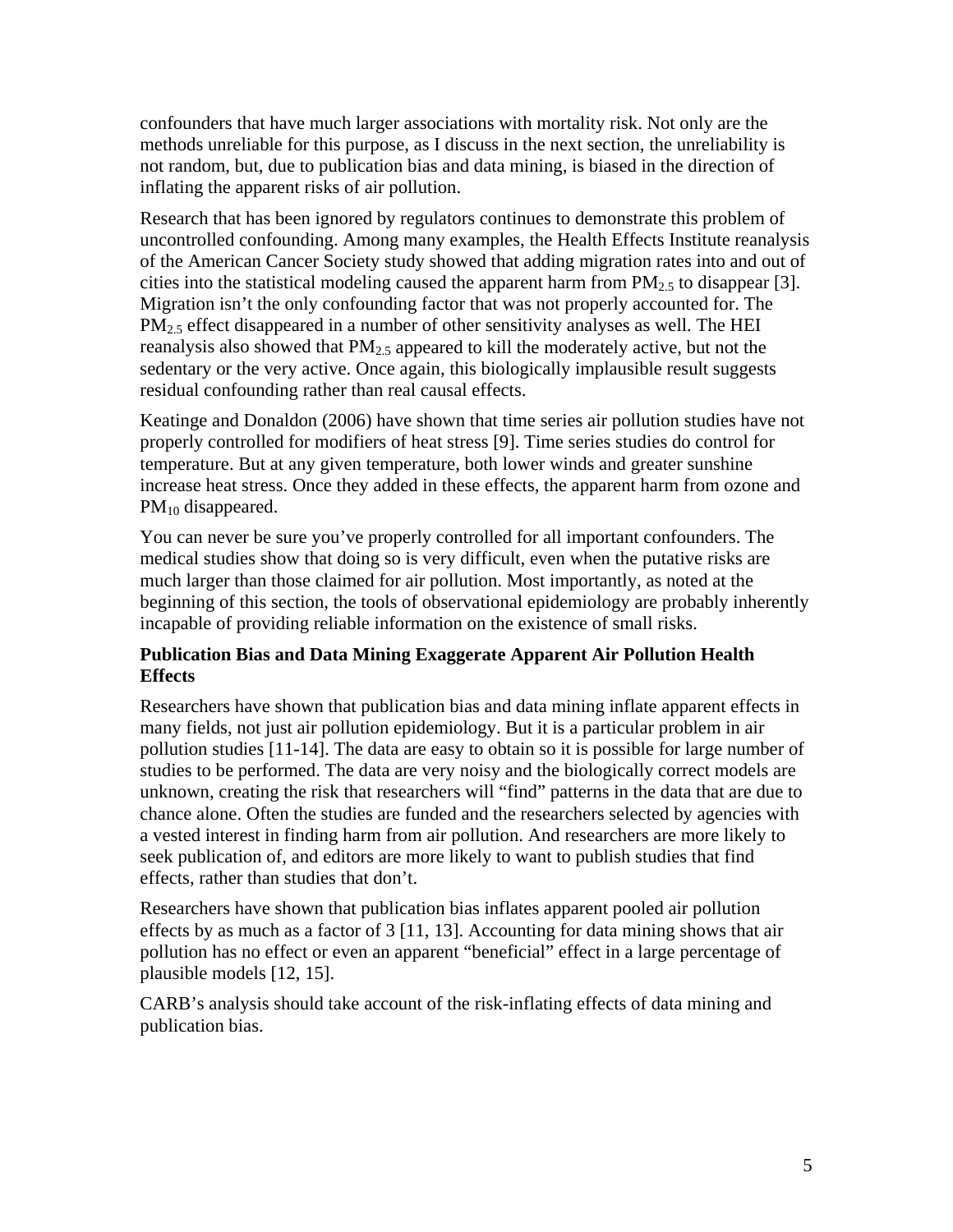confounders that have much larger associations with mortality risk. Not only are the methods unreliable for this purpose, as I discuss in the next section, the unreliability is not random, but, due to publication bias and data mining, is biased in the direction of inflating the apparent risks of air pollution.

Research that has been ignored by regulators continues to demonstrate this problem of uncontrolled confounding. Among many examples, the Health Effects Institute reanalysis of the American Cancer Society study showed that adding migration rates into and out of cities into the statistical modeling caused the apparent harm from  $PM_{2.5}$  to disappear [3]. Migration isn't the only confounding factor that was not properly accounted for. The  $PM<sub>25</sub>$  effect disappeared in a number of other sensitivity analyses as well. The HEI reanalysis also showed that  $PM_{2.5}$  appeared to kill the moderately active, but not the sedentary or the very active. Once again, this biologically implausible result suggests residual confounding rather than real causal effects.

Keatinge and Donaldon (2006) have shown that time series air pollution studies have not properly controlled for modifiers of heat stress [9]. Time series studies do control for temperature. But at any given temperature, both lower winds and greater sunshine increase heat stress. Once they added in these effects, the apparent harm from ozone and  $PM_{10}$  disappeared.

You can never be sure you've properly controlled for all important confounders. The medical studies show that doing so is very difficult, even when the putative risks are much larger than those claimed for air pollution. Most importantly, as noted at the beginning of this section, the tools of observational epidemiology are probably inherently incapable of providing reliable information on the existence of small risks.

# **Publication Bias and Data Mining Exaggerate Apparent Air Pollution Health Effects**

Researchers have shown that publication bias and data mining inflate apparent effects in many fields, not just air pollution epidemiology. But it is a particular problem in air pollution studies [11-14]. The data are easy to obtain so it is possible for large number of studies to be performed. The data are very noisy and the biologically correct models are unknown, creating the risk that researchers will "find" patterns in the data that are due to chance alone. Often the studies are funded and the researchers selected by agencies with a vested interest in finding harm from air pollution. And researchers are more likely to seek publication of, and editors are more likely to want to publish studies that find effects, rather than studies that don't.

Researchers have shown that publication bias inflates apparent pooled air pollution effects by as much as a factor of  $3$  [11, 13]. Accounting for data mining shows that air pollution has no effect or even an apparent "beneficial" effect in a large percentage of plausible models [12, 15].

CARB's analysis should take account of the risk-inflating effects of data mining and publication bias.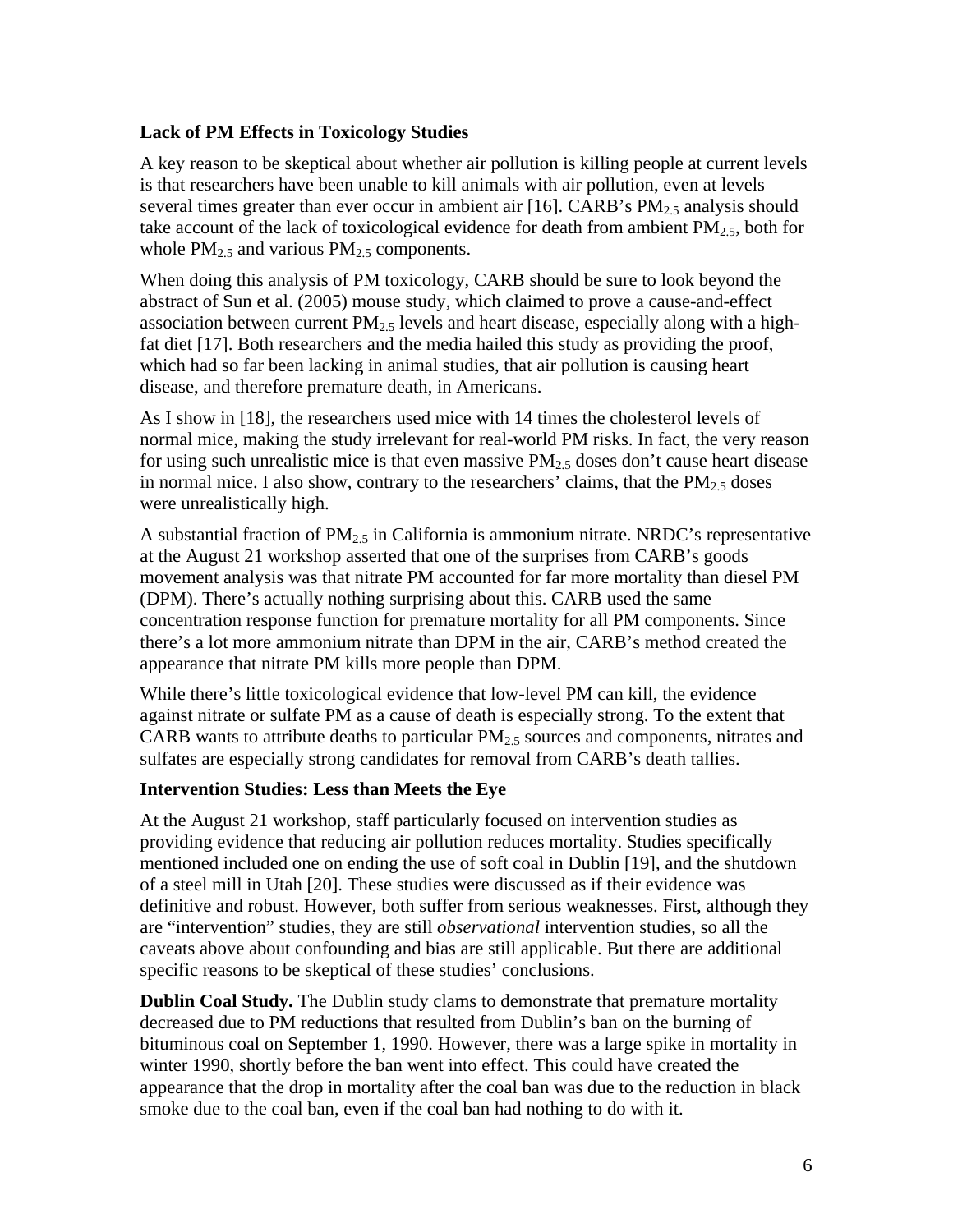# **Lack of PM Effects in Toxicology Studies**

A key reason to be skeptical about whether air pollution is killing people at current levels is that researchers have been unable to kill animals with air pollution, even at levels several times greater than ever occur in ambient air [16]. CARB's  $PM<sub>2.5</sub>$  analysis should take account of the lack of toxicological evidence for death from ambient  $PM_{2.5}$ , both for whole  $PM_{2.5}$  and various  $PM_{2.5}$  components.

When doing this analysis of PM toxicology, CARB should be sure to look beyond the abstract of Sun et al. (2005) mouse study, which claimed to prove a cause-and-effect association between current  $PM<sub>2</sub>$ , levels and heart disease, especially along with a highfat diet [17]. Both researchers and the media hailed this study as providing the proof, which had so far been lacking in animal studies, that air pollution is causing heart disease, and therefore premature death, in Americans.

As I show in [18], the researchers used mice with 14 times the cholesterol levels of normal mice, making the study irrelevant for real-world PM risks. In fact, the very reason for using such unrealistic mice is that even massive  $PM_{2.5}$  doses don't cause heart disease in normal mice. I also show, contrary to the researchers' claims, that the  $PM_{2.5}$  doses were unrealistically high.

A substantial fraction of  $PM_{2,5}$  in California is ammonium nitrate. NRDC's representative at the August 21 workshop asserted that one of the surprises from CARB's goods movement analysis was that nitrate PM accounted for far more mortality than diesel PM (DPM). There's actually nothing surprising about this. CARB used the same concentration response function for premature mortality for all PM components. Since there's a lot more ammonium nitrate than DPM in the air, CARB's method created the appearance that nitrate PM kills more people than DPM.

While there's little toxicological evidence that low-level PM can kill, the evidence against nitrate or sulfate PM as a cause of death is especially strong. To the extent that CARB wants to attribute deaths to particular  $PM<sub>2.5</sub>$  sources and components, nitrates and sulfates are especially strong candidates for removal from CARB's death tallies.

#### **Intervention Studies: Less than Meets the Eye**

At the August 21 workshop, staff particularly focused on intervention studies as providing evidence that reducing air pollution reduces mortality. Studies specifically mentioned included one on ending the use of soft coal in Dublin [19], and the shutdown of a steel mill in Utah [20]. These studies were discussed as if their evidence was definitive and robust. However, both suffer from serious weaknesses. First, although they are "intervention" studies, they are still *observational* intervention studies, so all the caveats above about confounding and bias are still applicable. But there are additional specific reasons to be skeptical of these studies' conclusions.

**Dublin Coal Study.** The Dublin study clams to demonstrate that premature mortality decreased due to PM reductions that resulted from Dublin's ban on the burning of bituminous coal on September 1, 1990. However, there was a large spike in mortality in winter 1990, shortly before the ban went into effect. This could have created the appearance that the drop in mortality after the coal ban was due to the reduction in black smoke due to the coal ban, even if the coal ban had nothing to do with it.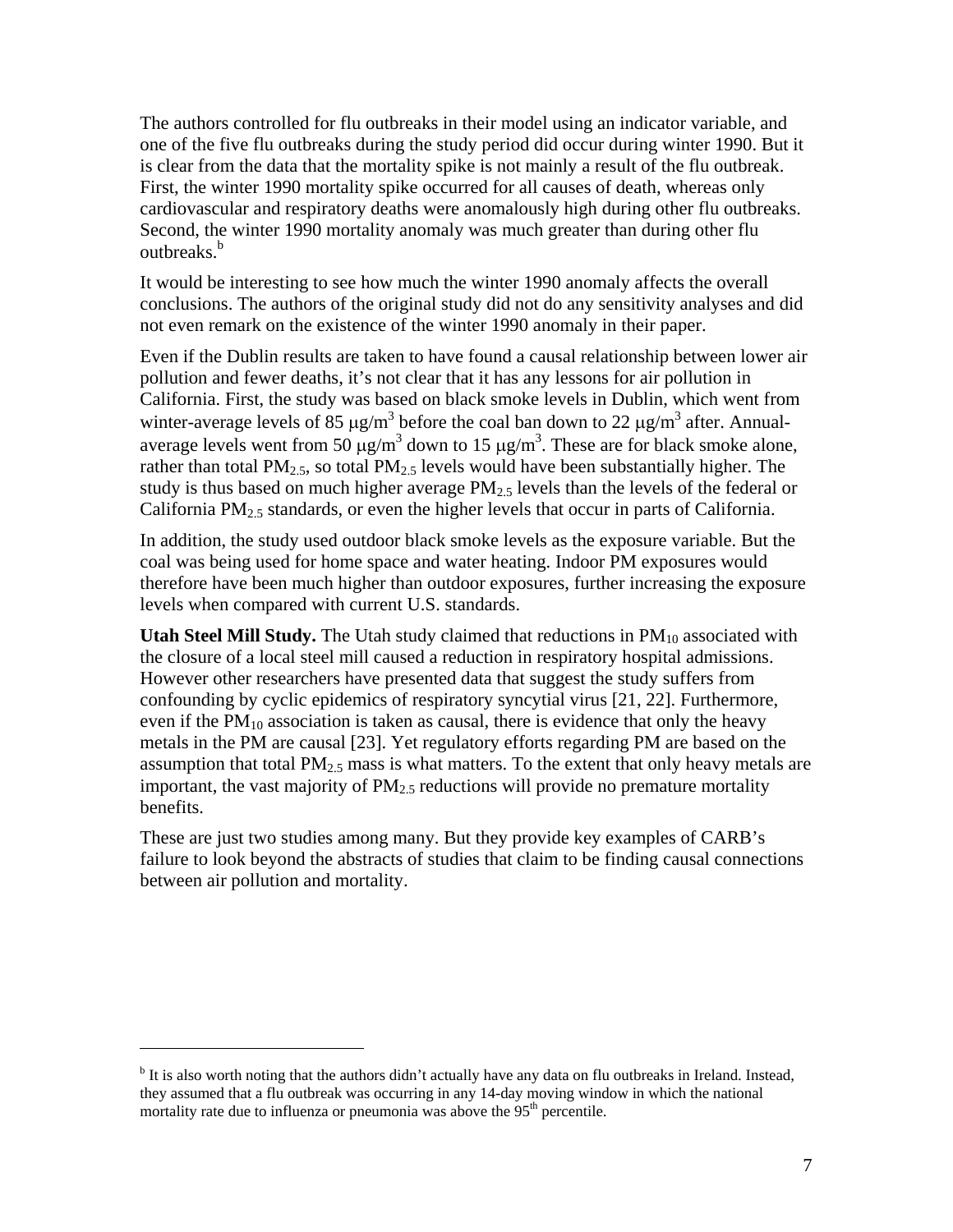The authors controlled for flu outbreaks in their model using an indicator variable, and one of the five flu outbreaks during the study period did occur during winter 1990. But it is clear from the data that the mortality spike is not mainly a result of the flu outbreak. First, the winter 1990 mortality spike occurred for all causes of death, whereas only cardiovascular and respiratory deaths were anomalously high during other flu outbreaks. Second, the winter 1990 mortality anomaly was much greater than during other flu outhreaks.<sup>[b](#page-6-0)</sup>

It would be interesting to see how much the winter 1990 anomaly affects the overall conclusions. The authors of the original study did not do any sensitivity analyses and did not even remark on the existence of the winter 1990 anomaly in their paper.

Even if the Dublin results are taken to have found a causal relationship between lower air pollution and fewer deaths, it's not clear that it has any lessons for air pollution in California. First, the study was based on black smoke levels in Dublin, which went from winter-average levels of 85  $\mu$ g/m<sup>3</sup> before the coal ban down to 22  $\mu$ g/m<sup>3</sup> after. Annualaverage levels went from 50  $\mu$ g/m<sup>3</sup> down to 15  $\mu$ g/m<sup>3</sup>. These are for black smoke alone, rather than total  $PM_{2.5}$ , so total  $PM_{2.5}$  levels would have been substantially higher. The study is thus based on much higher average  $PM_{2.5}$  levels than the levels of the federal or California PM2.5 standards, or even the higher levels that occur in parts of California.

In addition, the study used outdoor black smoke levels as the exposure variable. But the coal was being used for home space and water heating. Indoor PM exposures would therefore have been much higher than outdoor exposures, further increasing the exposure levels when compared with current U.S. standards.

**Utah Steel Mill Study.** The Utah study claimed that reductions in PM<sub>10</sub> associated with the closure of a local steel mill caused a reduction in respiratory hospital admissions. However other researchers have presented data that suggest the study suffers from confounding by cyclic epidemics of respiratory syncytial virus [21, 22]. Furthermore, even if the  $PM_{10}$  association is taken as causal, there is evidence that only the heavy metals in the PM are causal [23]. Yet regulatory efforts regarding PM are based on the assumption that total  $PM_{2.5}$  mass is what matters. To the extent that only heavy metals are important, the vast majority of  $PM<sub>2.5</sub>$  reductions will provide no premature mortality benefits.

These are just two studies among many. But they provide key examples of CARB's failure to look beyond the abstracts of studies that claim to be finding causal connections between air pollution and mortality.

1

<span id="page-6-0"></span><sup>&</sup>lt;sup>b</sup> It is also worth noting that the authors didn't actually have any data on flu outbreaks in Ireland. Instead, they assumed that a flu outbreak was occurring in any 14-day moving window in which the national mortality rate due to influenza or pneumonia was above the  $95<sup>th</sup>$  percentile.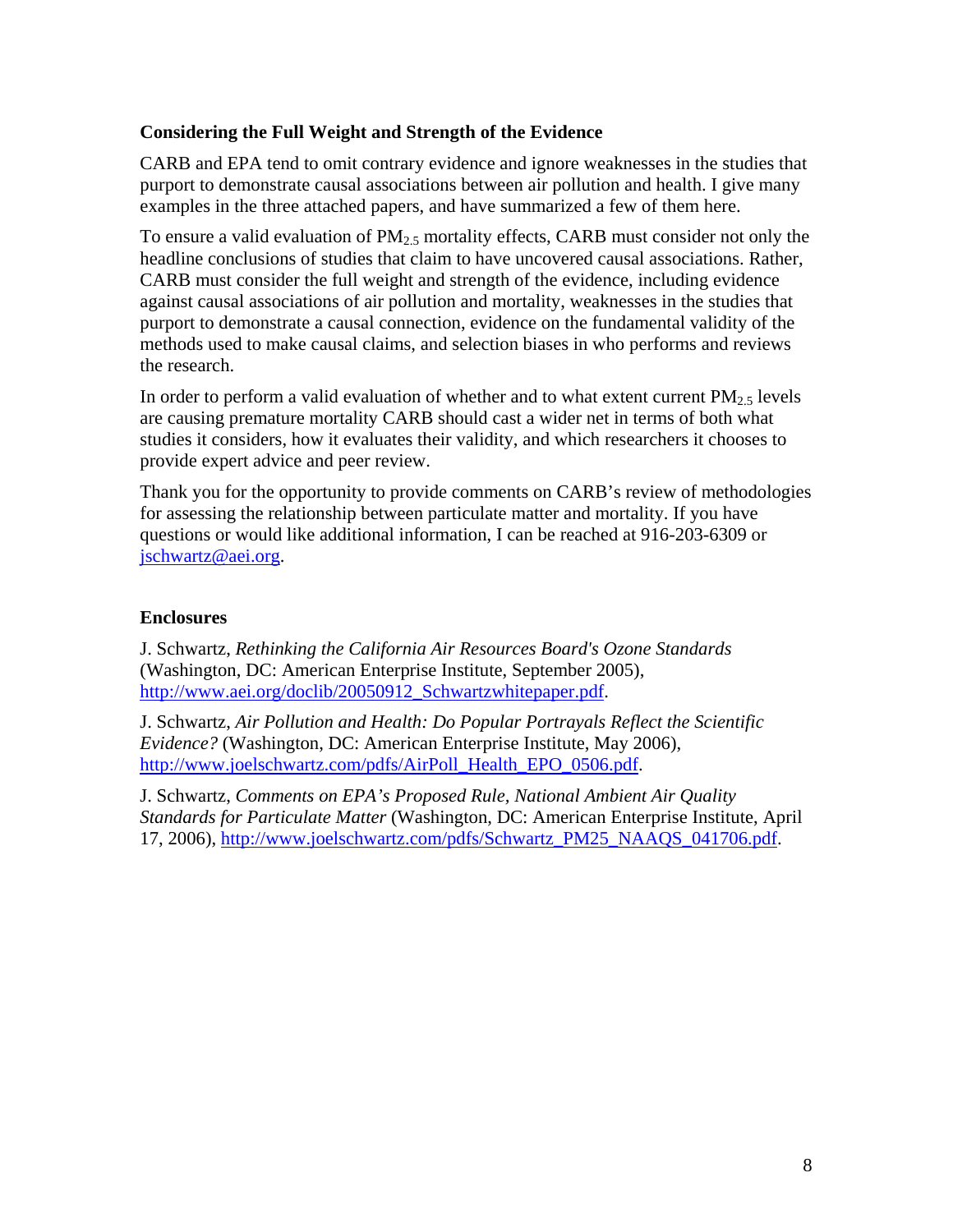# **Considering the Full Weight and Strength of the Evidence**

CARB and EPA tend to omit contrary evidence and ignore weaknesses in the studies that purport to demonstrate causal associations between air pollution and health. I give many examples in the three attached papers, and have summarized a few of them here.

To ensure a valid evaluation of  $PM<sub>2.5</sub>$  mortality effects, CARB must consider not only the headline conclusions of studies that claim to have uncovered causal associations. Rather, CARB must consider the full weight and strength of the evidence, including evidence against causal associations of air pollution and mortality, weaknesses in the studies that purport to demonstrate a causal connection, evidence on the fundamental validity of the methods used to make causal claims, and selection biases in who performs and reviews the research.

In order to perform a valid evaluation of whether and to what extent current  $PM<sub>2.5</sub>$  levels are causing premature mortality CARB should cast a wider net in terms of both what studies it considers, how it evaluates their validity, and which researchers it chooses to provide expert advice and peer review.

Thank you for the opportunity to provide comments on CARB's review of methodologies for assessing the relationship between particulate matter and mortality. If you have questions or would like additional information, I can be reached at 916-203-6309 or [jschwartz@aei.org](mailto:jschwartz@aei.org).

#### **Enclosures**

J. Schwartz, *Rethinking the California Air Resources Board's Ozone Standards* (Washington, DC: American Enterprise Institute, September 2005), [http://www.aei.org/doclib/20050912\\_Schwartzwhitepaper.pdf](http://www.aei.org/doclib/20050912_Schwartzwhitepaper.pdf).

J. Schwartz, *Air Pollution and Health: Do Popular Portrayals Reflect the Scientific Evidence?* (Washington, DC: American Enterprise Institute, May 2006), [http://www.joelschwartz.com/pdfs/AirPoll\\_Health\\_EPO\\_0506.pdf](http://www.joelschwartz.com/pdfs/AirPoll_Health_EPO_0506.pdf).

J. Schwartz, *Comments on EPA's Proposed Rule, National Ambient Air Quality Standards for Particulate Matter* (Washington, DC: American Enterprise Institute, April 17, 2006), [http://www.joelschwartz.com/pdfs/Schwartz\\_PM25\\_NAAQS\\_041706.pdf.](http://www.joelschwartz.com/pdfs/Schwartz_PM25_NAAQS_041706.pdf)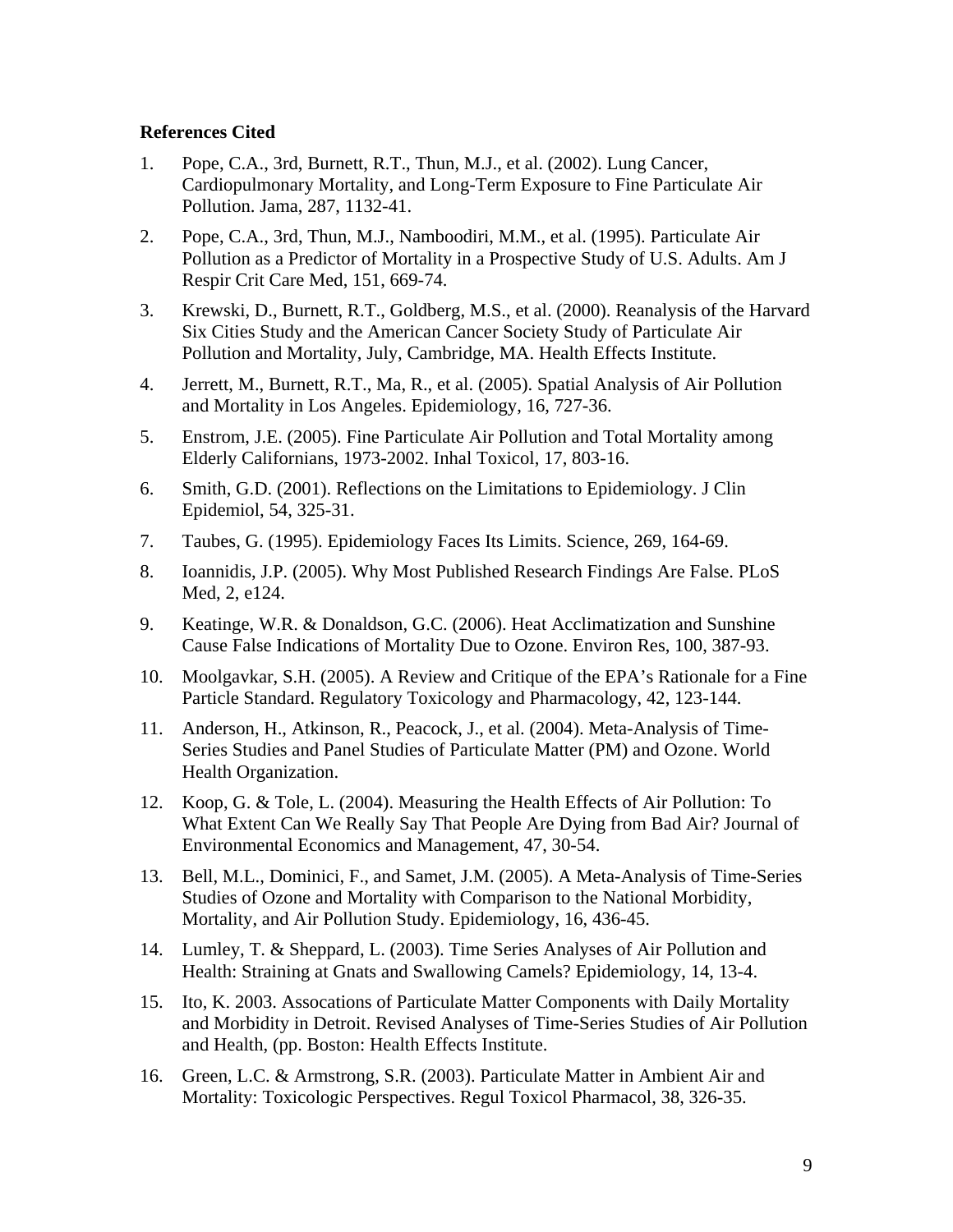### **References Cited**

- 1. Pope, C.A., 3rd, Burnett, R.T., Thun, M.J., et al. (2002). Lung Cancer, Cardiopulmonary Mortality, and Long-Term Exposure to Fine Particulate Air Pollution. Jama, 287, 1132-41.
- 2. Pope, C.A., 3rd, Thun, M.J., Namboodiri, M.M., et al. (1995). Particulate Air Pollution as a Predictor of Mortality in a Prospective Study of U.S. Adults. Am J Respir Crit Care Med, 151, 669-74.
- 3. Krewski, D., Burnett, R.T., Goldberg, M.S., et al. (2000). Reanalysis of the Harvard Six Cities Study and the American Cancer Society Study of Particulate Air Pollution and Mortality, July, Cambridge, MA. Health Effects Institute.
- 4. Jerrett, M., Burnett, R.T., Ma, R., et al. (2005). Spatial Analysis of Air Pollution and Mortality in Los Angeles. Epidemiology, 16, 727-36.
- 5. Enstrom, J.E. (2005). Fine Particulate Air Pollution and Total Mortality among Elderly Californians, 1973-2002. Inhal Toxicol, 17, 803-16.
- 6. Smith, G.D. (2001). Reflections on the Limitations to Epidemiology. J Clin Epidemiol, 54, 325-31.
- 7. Taubes, G. (1995). Epidemiology Faces Its Limits. Science, 269, 164-69.
- 8. Ioannidis, J.P. (2005). Why Most Published Research Findings Are False. PLoS Med, 2, e124.
- 9. Keatinge, W.R. & Donaldson, G.C. (2006). Heat Acclimatization and Sunshine Cause False Indications of Mortality Due to Ozone. Environ Res, 100, 387-93.
- 10. Moolgavkar, S.H. (2005). A Review and Critique of the EPA's Rationale for a Fine Particle Standard. Regulatory Toxicology and Pharmacology, 42, 123-144.
- 11. Anderson, H., Atkinson, R., Peacock, J., et al. (2004). Meta-Analysis of Time-Series Studies and Panel Studies of Particulate Matter (PM) and Ozone. World Health Organization.
- 12. Koop, G. & Tole, L. (2004). Measuring the Health Effects of Air Pollution: To What Extent Can We Really Say That People Are Dying from Bad Air? Journal of Environmental Economics and Management, 47, 30-54.
- 13. Bell, M.L., Dominici, F., and Samet, J.M. (2005). A Meta-Analysis of Time-Series Studies of Ozone and Mortality with Comparison to the National Morbidity, Mortality, and Air Pollution Study. Epidemiology, 16, 436-45.
- 14. Lumley, T. & Sheppard, L. (2003). Time Series Analyses of Air Pollution and Health: Straining at Gnats and Swallowing Camels? Epidemiology, 14, 13-4.
- 15. Ito, K. 2003. Assocations of Particulate Matter Components with Daily Mortality and Morbidity in Detroit. Revised Analyses of Time-Series Studies of Air Pollution and Health, (pp. Boston: Health Effects Institute.
- 16. Green, L.C. & Armstrong, S.R. (2003). Particulate Matter in Ambient Air and Mortality: Toxicologic Perspectives. Regul Toxicol Pharmacol, 38, 326-35.